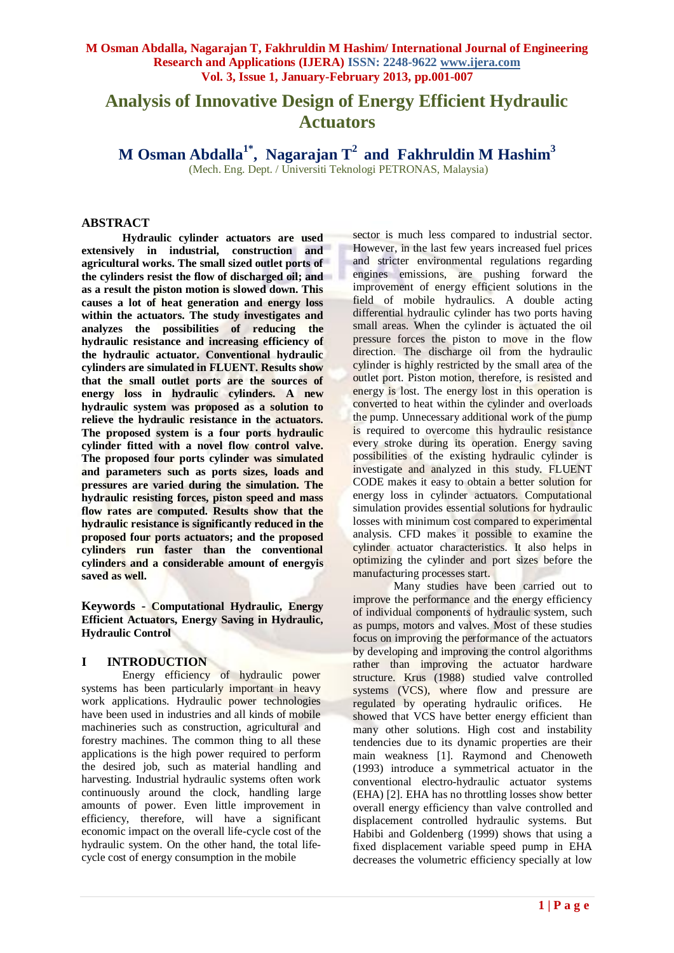# **Analysis of Innovative Design of Energy Efficient Hydraulic Actuators**

**M Osman Abdalla1\* , [Nagarajan T](http://edas.info/showPerson.php?p=326223&c=11129)<sup>2</sup>and Fakhruldin M Hashim<sup>3</sup>**

(Mech. Eng. Dept. / Universiti Teknologi PETRONAS, Malaysia)

#### **ABSTRACT**

**Hydraulic cylinder actuators are used extensively in industrial, construction and agricultural works. The small sized outlet ports of the cylinders resist the flow of discharged oil; and as a result the piston motion is slowed down. This causes a lot of heat generation and energy loss within the actuators. The study investigates and analyzes the possibilities of reducing the hydraulic resistance and increasing efficiency of the hydraulic actuator. Conventional hydraulic cylinders are simulated in FLUENT. Results show that the small outlet ports are the sources of energy loss in hydraulic cylinders. A new hydraulic system was proposed as a solution to relieve the hydraulic resistance in the actuators. The proposed system is a four ports hydraulic cylinder fitted with a novel flow control valve. The proposed four ports cylinder was simulated and parameters such as ports sizes, loads and pressures are varied during the simulation. The hydraulic resisting forces, piston speed and mass flow rates are computed. Results show that the hydraulic resistance is significantly reduced in the proposed four ports actuators; and the proposed cylinders run faster than the conventional cylinders and a considerable amount of energyis saved as well.**

**Keywords - Computational Hydraulic, Energy Efficient Actuators, Energy Saving in Hydraulic, Hydraulic Control** 

## **I INTRODUCTION**

Energy efficiency of hydraulic power systems has been particularly important in heavy work applications. Hydraulic power technologies have been used in industries and all kinds of mobile machineries such as construction, agricultural and forestry machines. The common thing to all these applications is the high power required to perform the desired job, such as material handling and harvesting. Industrial hydraulic systems often work continuously around the clock, handling large amounts of power. Even little improvement in efficiency, therefore, will have a significant economic impact on the overall life-cycle cost of the hydraulic system. On the other hand, the total lifecycle cost of energy consumption in the mobile

sector is much less compared to industrial sector. However, in the last few years increased fuel prices and stricter environmental regulations regarding engines emissions, are pushing forward the improvement of energy efficient solutions in the field of mobile hydraulics. A double acting differential hydraulic cylinder has two ports having small areas. When the cylinder is actuated the oil pressure forces the piston to move in the flow direction. The discharge oil from the hydraulic cylinder is highly restricted by the small area of the outlet port. Piston motion, therefore, is resisted and energy is lost. The energy lost in this operation is converted to heat within the cylinder and overloads the pump. Unnecessary additional work of the pump is required to overcome this hydraulic resistance every stroke during its operation. Energy saving possibilities of the existing hydraulic cylinder is investigate and analyzed in this study. FLUENT CODE makes it easy to obtain a better solution for energy loss in cylinder actuators. Computational simulation provides essential solutions for hydraulic losses with minimum cost compared to experimental analysis. CFD makes it possible to examine the cylinder actuator characteristics. It also helps in optimizing the cylinder and port sizes before the manufacturing processes start.

Many studies have been carried out to improve the performance and the energy efficiency of individual components of hydraulic system, such as pumps, motors and valves. Most of these studies focus on improving the performance of the actuators by developing and improving the control algorithms rather than improving the actuator hardware structure. Krus (1988) studied valve controlled systems (VCS), where flow and pressure are regulated by operating hydraulic orifices. He showed that VCS have better energy efficient than many other solutions. High cost and instability tendencies due to its dynamic properties are their main weakness [1]. Raymond and Chenoweth (1993) introduce a symmetrical actuator in the conventional electro-hydraulic actuator systems (EHA) [2]. EHA has no throttling losses show better overall energy efficiency than valve controlled and displacement controlled hydraulic systems. But Habibi and Goldenberg (1999) shows that using a fixed displacement variable speed pump in EHA decreases the volumetric efficiency specially at low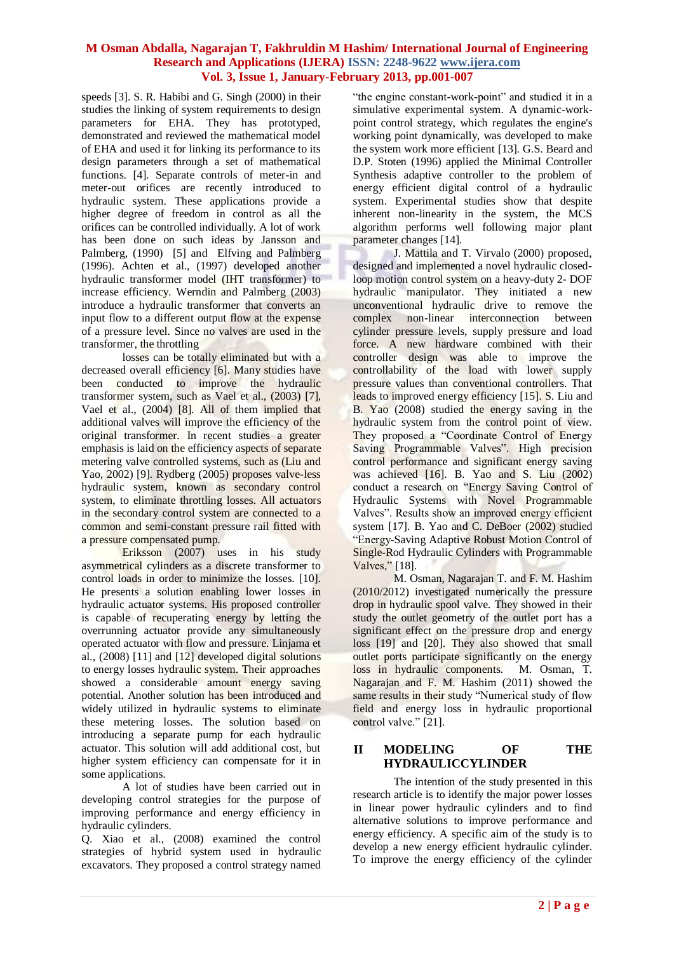speeds [3]. S. R. Habibi and G. Singh (2000) in their studies the linking of system requirements to design parameters for EHA. They has prototyped, demonstrated and reviewed the mathematical model of EHA and used it for linking its performance to its design parameters through a set of mathematical functions. [4]. [Separate controls of](http://papers.sae.org/901583) meter-in and meter-out orifices are recently introduced to hydraulic system. These applications provide a higher degree of freedom in control as all the orifices can be controlled individually. A lot of work has been done on such ideas by Jansson and Palmberg, (1990) [5] and Elfving and Palmberg (1996). Achten et al., (1997) developed another hydraulic transformer model (IHT transformer) to increase efficiency. Werndin and Palmberg (2003) introduce a hydraulic transformer that converts an input flow to a different output flow at the expense of a pressure level. Since no valves are used in the transformer, the throttling

losses can be totally eliminated but with a decreased overall efficiency [6]. Many studies have been conducted to improve the hydraulic transformer system, such as Vael et al., (2003) [7], Vael et al., (2004) [8]. All of them implied that additional valves will improve the efficiency of the original transformer. In recent studies a greater emphasis is laid on the efficiency aspects of separate metering valve controlled systems, such as (Liu and Yao, 2002) [9]. Rydberg (2005) proposes valve-less hydraulic system, known as secondary control system, to eliminate throttling losses. All actuators in the secondary control system are connected to a common and semi-constant pressure rail fitted with a pressure compensated pump.

Eriksson (2007) uses in his study asymmetrical cylinders as a discrete transformer to control loads in order to minimize the losses. [10]. He presents a solution enabling lower losses in hydraulic actuator systems. His proposed controller is capable of recuperating energy by letting the overrunning actuator provide any simultaneously operated actuator with flow and pressure. Linjama et al., (2008) [11] and [12] developed digital solutions to energy losses hydraulic system. Their approaches showed a considerable amount energy saving potential. Another solution has been introduced and widely utilized in hydraulic systems to eliminate these metering losses. The solution based on introducing a separate pump for each hydraulic actuator. This solution will add additional cost, but higher system efficiency can compensate for it in some applications.

A lot of studies have been carried out in developing control strategies for the purpose of improving performance and energy efficiency in hydraulic cylinders.

Q. Xiao et al., (2008) examined the control strategies of hybrid system used in hydraulic excavators. They proposed a control strategy named "the engine constant-work-point" and studied it in a simulative experimental system. A dynamic-workpoint control strategy, which regulates the engine's working point dynamically, was developed to make the system work more efficient [13]. G.S. Beard and D.P. Stoten (1996) applied the Minimal Controller Synthesis adaptive controller to the problem of energy efficient digital control of a hydraulic system. Experimental studies show that despite inherent non-linearity in the system, the MCS algorithm performs well following major plant parameter changes [14].

J. Mattila and T. Virvalo (2000) proposed, designed and implemented a novel hydraulic closedloop motion control system on a heavy-duty 2- DOF hydraulic manipulator. They initiated a new unconventional hydraulic drive to remove the complex non-linear interconnection between cylinder pressure levels, supply pressure and load force. A new hardware combined with their controller design was able to improve the controllability of the load with lower supply pressure values than conventional controllers. That leads to improved energy efficiency [15]. S. Liu and B. Yao (2008) studied the energy saving in the hydraulic system from the control point of view. They proposed a "Coordinate Control of Energy Saving Programmable Valves". High precision control performance and significant energy saving was achieved [16]. B. Yao and S. Liu (2002) conduct a research on "Energy Saving Control of Hydraulic Systems with Novel Programmable Valves". Results show an improved energy efficient system [17]. B. Yao and C. DeBoer (2002) studied "Energy-Saving Adaptive Robust Motion Control of Single-Rod Hydraulic Cylinders with Programmable Valves," [18].

M. Osman, Nagarajan T. and F. M. Hashim (2010/2012) investigated numerically the pressure drop in hydraulic spool valve. They showed in their study the outlet geometry of the outlet port has a significant effect on the pressure drop and energy loss [19] and [20]. They also showed that small outlet ports participate significantly on the energy loss in hydraulic components. M. Osman, T. Nagarajan and F. M. Hashim (2011) showed the same results in their study "Numerical study of flow field and energy loss in hydraulic proportional control valve." [21].

## **II MODELING OF THE HYDRAULICCYLINDER**

The intention of the study presented in this research article is to identify the major power losses in linear power hydraulic cylinders and to find alternative solutions to improve performance and energy efficiency. A specific aim of the study is to develop a new energy efficient hydraulic cylinder. To improve the energy efficiency of the cylinder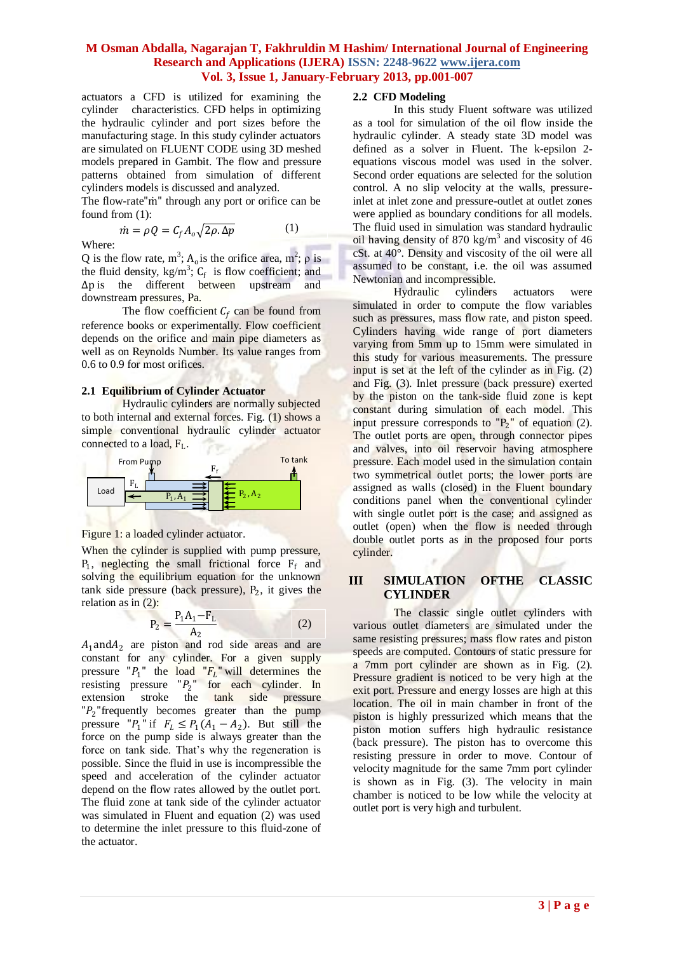actuators a CFD is utilized for examining the cylinder characteristics. CFD helps in optimizing the hydraulic cylinder and port sizes before the manufacturing stage. In this study cylinder actuators are simulated on FLUENT CODE using 3D meshed models prepared in Gambit. The flow and pressure patterns obtained from simulation of different cylinders models is discussed and analyzed.

The flow-rate"m" through any port or orifice can be found from (1):

$$
\dot{m} = \rho Q = C_f A_o \sqrt{2\rho \Delta p} \tag{1}
$$

Where:

Q is the flow rate,  $m^3$ ;  $A_0$  is the orifice area,  $m^2$ ;  $\rho$  is the fluid density,  $kg/m^3$ ;  $C_f$  is flow coefficient; and ∆p is the different between upstream and downstream pressures, Pa.

The flow coefficient  $C_f$  can be found from reference books or experimentally. Flow coefficient depends on the orifice and main pipe diameters as well as on Reynolds Number. Its value ranges from 0.6 to 0.9 for most orifices.

#### **2.1 Equilibrium of Cylinder Actuator**

Hydraulic cylinders are normally subjected to both internal and external forces. Fig. (1) shows a simple conventional hydraulic cylinder actuator connected to a load, F<sub>L</sub>.



## Figure 1: a loaded cylinder actuator.

When the cylinder is supplied with pump pressure,  $P_1$ , neglecting the small frictional force  $F_f$  and solving the equilibrium equation for the unknown  $tank$  side pressure (back pressure),  $P_2$ , it gives the relation as in (2):

$$
P_2 = \frac{P_1 A_1 - F_L}{A_2} \tag{2}
$$

 $A_1$ and $A_2$  are piston and rod side areas and are constant for any cylinder. For a given supply pressure " $P_1$ " the load " $F_L$ " will determines the resisting pressure  $P_2$ " for each cylinder. In extension stroke the tank side pressure  $P_2$ "frequently becomes greater than the pump pressure " $P_1$ " if  $F_L \le P_1(A_1 - A_2)$ . But still the force on the pump side is always greater than the force on tank side. That's why the regeneration is possible. Since the fluid in use is incompressible the speed and acceleration of the cylinder actuator depend on the flow rates allowed by the outlet port. The fluid zone at tank side of the cylinder actuator was simulated in Fluent and equation (2) was used to determine the inlet pressure to this fluid-zone of the actuator.

#### **2.2 CFD Modeling**

In this study Fluent software was utilized as a tool for simulation of the oil flow inside the hydraulic cylinder. A steady state 3D model was defined as a solver in Fluent. The k-epsilon 2 equations viscous model was used in the solver. Second order equations are selected for the solution control. A no slip velocity at the walls, pressureinlet at inlet zone and pressure-outlet at outlet zones were applied as boundary conditions for all models. The fluid used in simulation was standard hydraulic oil having density of 870 kg/m<sup>3</sup> and viscosity of 46 cSt. at 40°. Density and viscosity of the oil were all assumed to be constant, i.e. the oil was assumed Newtonian and incompressible.

Hydraulic cylinders actuators were simulated in order to compute the flow variables such as pressures, mass flow rate, and piston speed. Cylinders having wide range of port diameters varying from 5mm up to 15mm were simulated in this study for various measurements. The pressure input is set at the left of the cylinder as in Fig. (2) and Fig. (3). Inlet pressure (back pressure) exerted by the piston on the tank-side fluid zone is kept constant during simulation of each model. This input pressure corresponds to  $P_2$ <sup>"</sup> of equation (2). The outlet ports are open, through connector pipes and valves, into oil reservoir having atmosphere pressure. Each model used in the simulation contain two symmetrical outlet ports; the lower ports are assigned as walls (closed) in the Fluent boundary conditions panel when the conventional cylinder with single outlet port is the case; and assigned as outlet (open) when the flow is needed through double outlet ports as in the proposed four ports cylinder.

## **III SIMULATION OFTHE CLASSIC CYLINDER**

The classic single outlet cylinders with various outlet diameters are simulated under the same resisting pressures; mass flow rates and piston speeds are computed. Contours of static pressure for a 7mm port cylinder are shown as in Fig. (2). Pressure gradient is noticed to be very high at the exit port. Pressure and energy losses are high at this location. The oil in main chamber in front of the piston is highly pressurized which means that the piston motion suffers high hydraulic resistance (back pressure). The piston has to overcome this resisting pressure in order to move. Contour of velocity magnitude for the same 7mm port cylinder is shown as in Fig. (3). The velocity in main chamber is noticed to be low while the velocity at outlet port is very high and turbulent.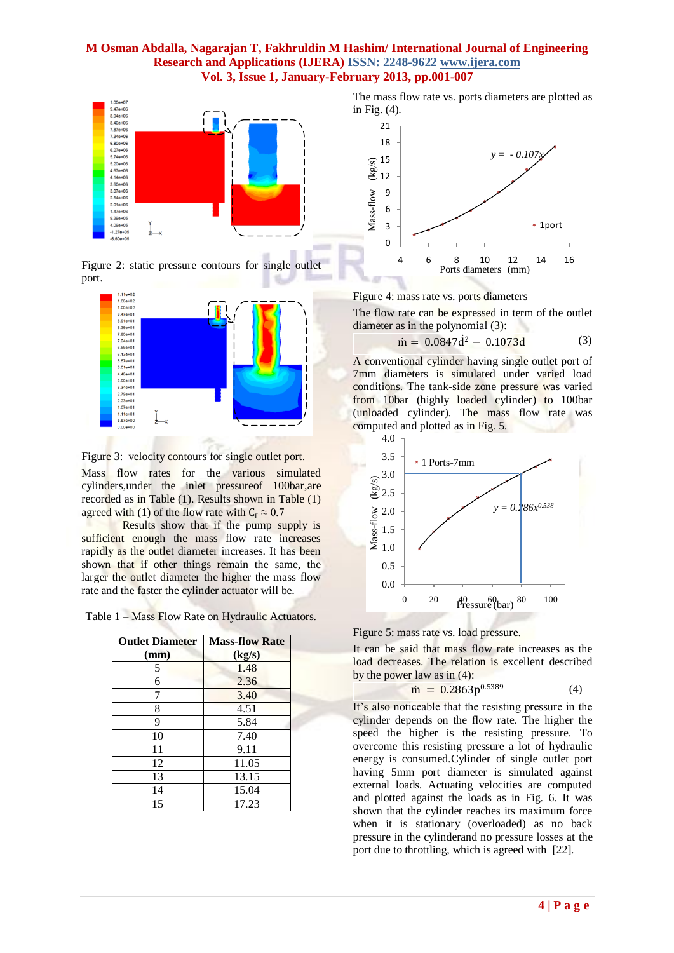

Figure 2: static pressure contours for single outlet port.



Figure 3: velocity contours for single outlet port.

Mass flow rates for the various simulated cylinders,under the inlet pressureof 100bar,are recorded as in Table (1). Results shown in Table (1) agreed with (1) of the flow rate with  $C_f \approx 0.7$ 

Results show that if the pump supply is sufficient enough the mass flow rate increases rapidly as the outlet diameter increases. It has been shown that if other things remain the same, the larger the outlet diameter the higher the mass flow rate and the faster the cylinder actuator will be.

Table 1 – Mass Flow Rate on Hydraulic Actuators.

| <b>Outlet Diameter</b> | <b>Mass-flow Rate</b> |
|------------------------|-----------------------|
| (mm)                   | (kg/s)                |
| 5                      | 1.48                  |
| 6                      | 2.36                  |
|                        | 3.40                  |
| 8                      | 4.51                  |
| 9                      | 5.84                  |
| 10                     | 7.40                  |
| 11                     | 9.11                  |
| 12                     | 11.05                 |
| 13                     | 13.15                 |
| 14                     | 15.04                 |
| 15                     | 17.23                 |





Figure 4: mass rate vs. ports diameters

The flow rate can be expressed in term of the outlet diameter as in the polynomial (3):

$$
\dot{m} = 0.0847\dot{d}^2 - 0.1073d\tag{3}
$$

A conventional cylinder having single outlet port of 7mm diameters is simulated under varied load conditions. The tank-side zone pressure was varied from 10bar (highly loaded cylinder) to 100bar (unloaded cylinder). The mass flow rate was computed and plotted as in Fig. 5.



Figure 5: mass rate vs. load pressure.

It can be said that mass flow rate increases as the load decreases. The relation is excellent described by the power law as in (4):

$$
\dot{\mathbf{m}} = 0.2863p^{0.5389} \tag{4}
$$

It's also noticeable that the resisting pressure in the cylinder depends on the flow rate. The higher the speed the higher is the resisting pressure. To overcome this resisting pressure a lot of hydraulic energy is consumed.Cylinder of single outlet port having 5mm port diameter is simulated against external loads. Actuating velocities are computed and plotted against the loads as in Fig. 6. It was shown that the cylinder reaches its maximum force when it is stationary (overloaded) as no back pressure in the cylinderand no pressure losses at the port due to throttling, which is agreed with [22].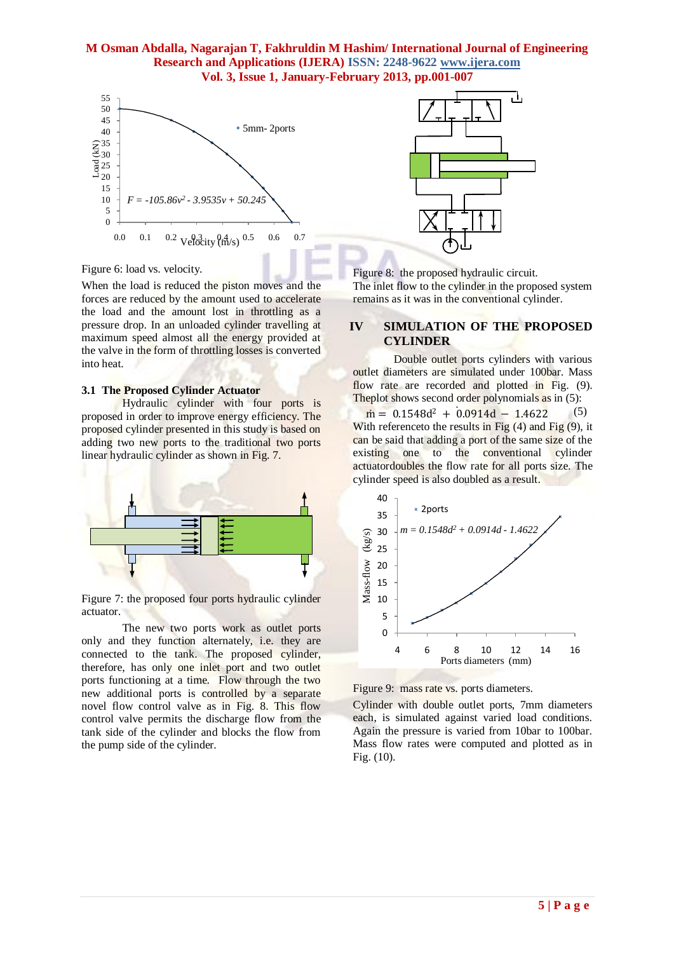

Figure 6: load vs. velocity.

When the load is reduced the piston moves and the forces are reduced by the amount used to accelerate the load and the amount lost in throttling as a pressure drop. In an unloaded cylinder travelling at maximum speed almost all the energy provided at the valve in the form of throttling losses is converted into heat.

#### **3.1 The Proposed Cylinder Actuator**

Hydraulic cylinder with four ports is proposed in order to improve energy efficiency. The proposed cylinder presented in this study is based on adding two new ports to the traditional two ports linear hydraulic cylinder as shown in Fig. 7.



Figure 7: the proposed four ports hydraulic cylinder actuator.

The new two ports work as outlet ports only and they function alternately, i.e. they are connected to the tank. The proposed cylinder, therefore, has only one inlet port and two outlet ports functioning at a time. Flow through the two new additional ports is controlled by a separate novel flow control valve as in Fig. 8. This flow control valve permits the discharge flow from the tank side of the cylinder and blocks the flow from the pump side of the cylinder.



Figure 8: the proposed hydraulic circuit.

The inlet flow to the cylinder in the proposed system remains as it was in the conventional cylinder.

## **IV SIMULATION OF THE PROPOSED CYLINDER**

Double outlet ports cylinders with various outlet diameters are simulated under 100bar. Mass flow rate are recorded and plotted in Fig. (9). Theplot shows second order polynomials as in  $(5)$ :

 $\dot{m} = 0.1548d^2 + 0.0914d - 1.4622$  (5) With reference to the results in Fig  $(4)$  and Fig  $(9)$ , it can be said that adding a port of the same size of the existing one to the conventional cylinder actuatordoubles the flow rate for all ports size. The cylinder speed is also doubled as a result.



Figure 9: mass rate vs. ports diameters.

Cylinder with double outlet ports, 7mm diameters each, is simulated against varied load conditions. Again the pressure is varied from 10bar to 100bar. Mass flow rates were computed and plotted as in Fig. (10).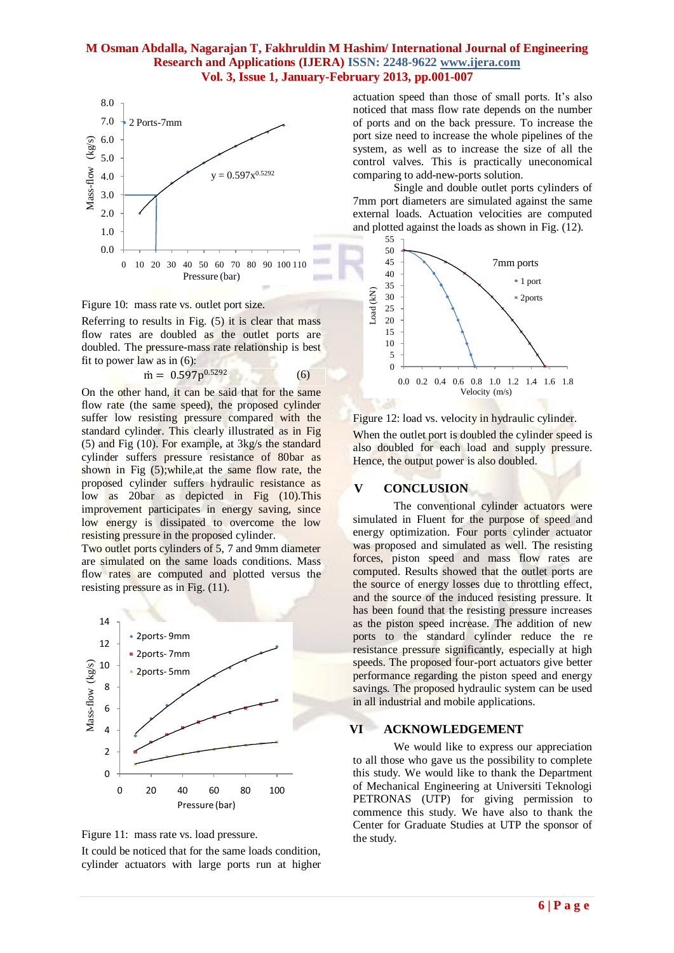

Figure 10: mass rate vs. outlet port size.

Referring to results in Fig. (5) it is clear that mass flow rates are doubled as the outlet ports are doubled. The pressure-mass rate relationship is best fit to power law as in (6):

$$
\dot{\mathbf{m}} = 0.597 \mathbf{p}^{0.5292} \tag{6}
$$

On the other hand, it can be said that for the same flow rate (the same speed), the proposed cylinder suffer low resisting pressure compared with the standard cylinder. This clearly illustrated as in Fig (5) and Fig (10). For example, at 3kg/s the standard cylinder suffers pressure resistance of 80bar as shown in Fig (5);while,at the same flow rate, the proposed cylinder suffers hydraulic resistance as low as 20bar as depicted in Fig (10).This improvement participates in energy saving, since low energy is dissipated to overcome the low resisting pressure in the proposed cylinder.

Two outlet ports cylinders of 5, 7 and 9mm diameter are simulated on the same loads conditions. Mass flow rates are computed and plotted versus the resisting pressure as in Fig. (11).





It could be noticed that for the same loads condition, cylinder actuators with large ports run at higher actuation speed than those of small ports. It's also noticed that mass flow rate depends on the number of ports and on the back pressure. To increase the port size need to increase the whole pipelines of the system, as well as to increase the size of all the control valves. This is practically uneconomical comparing to add-new-ports solution.

Single and double outlet ports cylinders of 7mm port diameters are simulated against the same external loads. Actuation velocities are computed and plotted against the loads as shown in Fig. (12).



Figure 12: load vs. velocity in hydraulic cylinder.

When the outlet port is doubled the cylinder speed is also doubled for each load and supply pressure. Hence, the output power is also doubled.

## **V CONCLUSION**

The conventional cylinder actuators were simulated in Fluent for the purpose of speed and energy optimization. Four ports cylinder actuator was proposed and simulated as well. The resisting forces, piston speed and mass flow rates are computed. Results showed that the outlet ports are the source of energy losses due to throttling effect, and the source of the induced resisting pressure. It has been found that the resisting pressure increases as the piston speed increase. The addition of new ports to the standard cylinder reduce the re resistance pressure significantly, especially at high speeds. The proposed four-port actuators give better performance regarding the piston speed and energy savings. The proposed hydraulic system can be used in all industrial and mobile applications.

## **VI ACKNOWLEDGEMENT**

We would like to express our appreciation to all those who gave us the possibility to complete this study. We would like to thank the Department of Mechanical Engineering at Universiti Teknologi PETRONAS (UTP) for giving permission to commence this study. We have also to thank the Center for Graduate Studies at UTP the sponsor of the study.